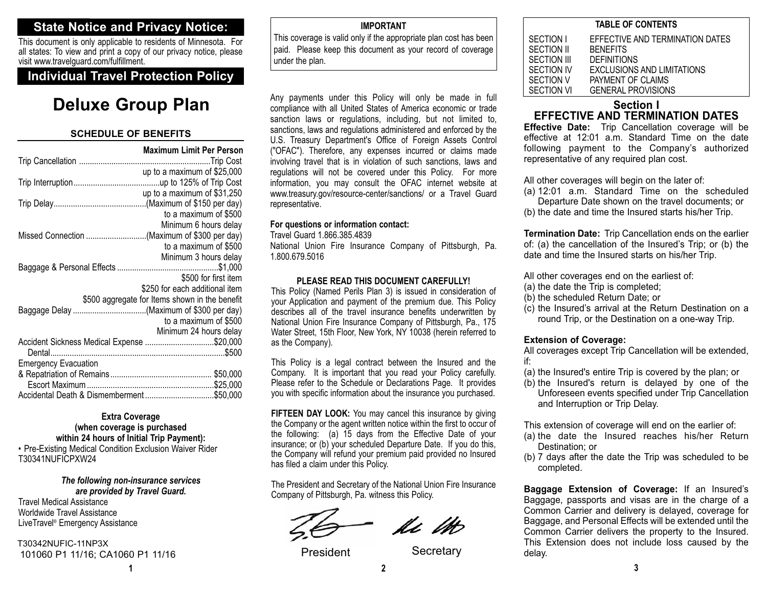## **State Notice and Privacy Notice:**

This document is only applicable to residents of Minnesota. For all states: To view and print a copy of our privacy notice, please visit www.travelguard.com/fulfillment.

## **Individual Travel Protection Policy**

## **Deluxe Group Plan**

#### **SCHEDULE OF BENEFITS**

|                                              | <b>Maximum Limit Per Person</b>                |
|----------------------------------------------|------------------------------------------------|
|                                              |                                                |
|                                              | up to a maximum of \$25,000                    |
|                                              |                                                |
|                                              | up to a maximum of \$31,250                    |
|                                              |                                                |
|                                              | to a maximum of \$500                          |
|                                              | Minimum 6 hours delay                          |
| Missed Connection (Maximum of \$300 per day) |                                                |
|                                              | to a maximum of \$500                          |
|                                              | Minimum 3 hours delay                          |
|                                              |                                                |
|                                              | \$500 for first item                           |
|                                              | \$250 for each additional item                 |
|                                              | \$500 aggregate for Items shown in the benefit |
|                                              |                                                |
|                                              | to a maximum of \$500                          |
|                                              | Minimum 24 hours delay                         |
| Accident Sickness Medical Expense \$20,000   |                                                |
|                                              |                                                |
| <b>Emergency Evacuation</b>                  |                                                |
|                                              |                                                |
|                                              |                                                |
|                                              |                                                |

#### **Extra Coverage (when coverage is purchased within 24 hours of Initial Trip Payment):**

• Pre-Existing Medical Condition Exclusion Waiver Rider T30341NUFICPXW24

#### *The following non-insurance services are provided by Travel Guard.*

Travel Medical AssistanceWorldwide Travel AssistanceLiveTravel® Emergency Assistance

T30342NUFIC-11NP3X101060 P1 11/16; CA1060 P1 11/16

#### **IMPORTANT**

This coverage is valid only if the appropriate plan cost has been paid. Please keep this document as your record of coverage under the plan.

Any payments under this Policy will only be made in full compliance with all United States of America economic or trade sanction laws or regulations, including, but not limited to, sanctions, laws and regulations administered and enforced by the U.S. Treasury Department's Office of Foreign Assets Control ("OFAC"). Therefore, any expenses incurred or claims made involving travel that is in violation of such sanctions, laws and regulations will not be covered under this Policy. For more information, you may consult the OFAC internet website at www.treasury.gov/resource-center/sanctions/ or a Travel Guard representative.

#### **For questions or information contact:**

Travel Guard 1.866.385.4839

National Union Fire Insurance Company of Pittsburgh, Pa. 1.800.679.5016

#### **PLEASE READ THIS DOCUMENT CAREFULLY!**

This Policy (Named Perils Plan 3) is issued in consideration of your Application and payment of the premium due. This Policy describes all of the travel insurance benefits underwritten by National Union Fire Insurance Company of Pittsburgh, Pa., 175 Water Street, 15th Floor, New York, NY 10038 (herein referred to as the Company).

This Policy is a legal contract between the Insured and the Company. It is important that you read your Policy carefully. Please refer to the Schedule or Declarations Page. It provides you with specific information about the insurance you purchased.

**FIFTEEN DAY LOOK:** You may cancel this insurance by giving the Company or the agent written notice within the first to occur of the following: (a) 15 days from the Effective Date of your insurance; or (b) your scheduled Departure Date. If you do this, the Company will refund your premium paid provided no Insured has filed a claim under this Policy.

The President and Secretary of the National Union Fire Insurance Company of Pittsburgh, Pa. witness this Policy.

ki ito

President Secretary

| IADLL VI VUNTLINIJ |                                   |  |
|--------------------|-----------------------------------|--|
| SECTION I          | EFFECTIVE AND TERMINATION DATES   |  |
| SECTION II         | <b>BENEFITS</b>                   |  |
| SECTION III        | <b>DEFINITIONS</b>                |  |
| SECTION IV         | <b>EXCLUSIONS AND LIMITATIONS</b> |  |
| SECTION V          | PAYMENT OF CLAIMS                 |  |
| SECTION VI         | <b>GENERAL PROVISIONS</b>         |  |

**TABLE OF CONTENTS**

## **Section IEFFECTIVE AND TERMINATION DATES**

 **Effective Date:** Trip Cancellation coverage will be effective at 12:01 a.m. Standard Time on the datefollowing payment to the Company's authorized representative of any required plan cost.

All other coverages will begin on the later of:

- (a) 12:01 a.m. Standard Time on the scheduled Departure Date shown on the travel documents; or
- (b) the date and time the Insured starts his/her Trip.

**Termination Date:** Trip Cancellation ends on the earlier of: (a) the cancellation of the Insured's Trip; or (b) the date and time the Insured starts on his/her Trip.

All other coverages end on the earliest of:

- (a) the date the Trip is completed;
- (b) the scheduled Return Date; or
- (c) the Insured's arrival at the Return Destination on a round Trip, or the Destination on a one-way Trip.

#### **Extension of Coverage:**

All coverages except Trip Cancellation will be extended, if:

- (a) the Insured's entire Trip is covered by the plan; or
- (b) the Insured's return is delayed by one of the Unforeseen events specified under Trip Cancellation and Interruption or Trip Delay.

This extension of coverage will end on the earlier of:

- (a) the date the Insured reaches his/her Return Destination; or
- (b) 7 days after the date the Trip was scheduled to be completed.

**Baggage Extension of Coverage:** If an Insured's Baggage, passports and visas are in the charge of a Common Carrier and delivery is delayed, coverage for Baggage, and Personal Effects will be extended until the Common Carrier delivers the property to the Insured. This Extension does not include loss caused by the delay.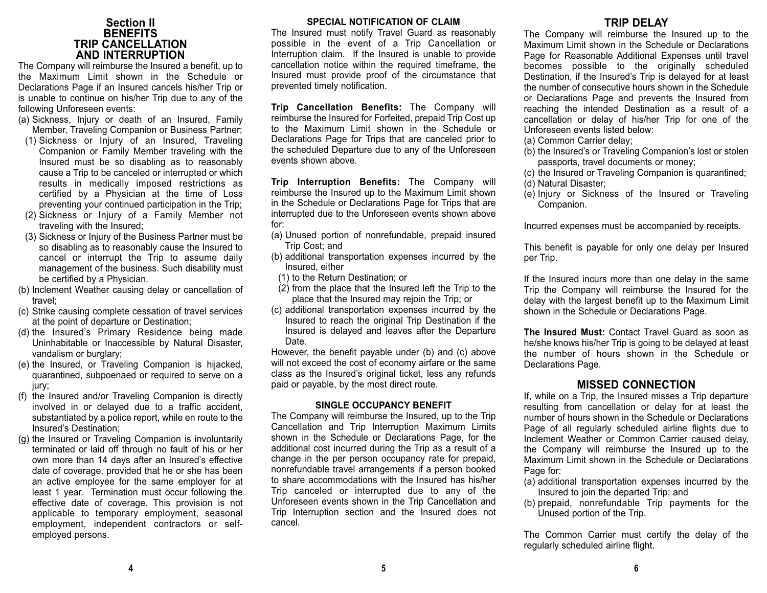#### **Section II BENEFITS TRIP CANCELLATION AND INTERRUPTION**

The Company will reimburse the Insured a benefit, up to the Maximum Limit shown in the Schedule orDeclarations Page if an Insured cancels his/her Trip or is unable to continue on his/her Trip due to any of the following Unforeseen events:

- (a) Sickness, Injury or death of an Insured, Family Member, Traveling Companion or Business Partner;
- (1) Sickness or Injury of an Insured, Traveling Companion or Family Member traveling with the Insured must be so disabling as to reasonably cause a Trip to be canceled or interrupted or which results in medically imposed restrictions as certified by a Physician at the time of Loss preventing your continued participation in the Trip;
- (2) Sickness or Injury of a Family Member not traveling with the Insured;
- (3) Sickness or Injury of the Business Partner must be so disabling as to reasonably cause the Insured to cancel or interrupt the Trip to assume daily management of the business. Such disability must be certified by a Physician.
- (b) Inclement Weather causing delay or cancellation of travel;
- (c) Strike causing complete cessation of travel services at the point of departure or Destination;
- (d) the Insured's Primary Residence being made Uninhabitable or Inaccessible by Natural Disaster, vandalism or burglary;
- (e) the Insured, or Traveling Companion is hijacked, quarantined, subpoenaed or required to serve on a jury;
- (f) the Insured and/or Traveling Companion is directly involved in or delayed due to a traffic accident, substantiated by a police report, while en route to the Insured's Destination;
- (g) the Insured or Traveling Companion is involuntarily terminated or laid off through no fault of his or her own more than 14 days after an Insured's effective date of coverage, provided that he or she has been an active employee for the same employer for at least 1 year. Termination must occur following the effective date of coverage. This provision is not applicable to temporary employment, seasonal employment, independent contractors or selfemployed persons.

#### **SPECIAL NOTIFICATION OF CLAIM**

The Insured must notify Travel Guard as reasonably possible in the event of a Trip Cancellation or Interruption claim. If the Insured is unable to provide cancellation notice within the required timeframe, the Insured must provide proof of the circumstance that prevented timely notification.

**Trip Cancellation Benefits:** The Company will reimburse the Insured for Forfeited, prepaid Trip Cost up to the Maximum Limit shown in the Schedule orDeclarations Page for Trips that are canceled prior to the scheduled Departure due to any of the Unforeseen events shown above.

**Trip Interruption Benefits:** The Company will reimburse the Insured up to the Maximum Limit shown in the Schedule or Declarations Page for Trips that are interrupted due to the Unforeseen events shown above for:

- (a) Unused portion of nonrefundable, prepaid insured Trip Cost; and
- (b) additional transportation expenses incurred by the Insured, either
- (1) to the Return Destination; or
- (2) from the place that the Insured left the Trip to the place that the Insured may rejoin the Trip; or
- (c) additional transportation expenses incurred by the Insured to reach the original Trip Destination if the Insured is delayed and leaves after the Departure Date.

However, the benefit payable under (b) and (c) above will not exceed the cost of economy airfare or the same class as the Insured's original ticket, less any refunds paid or payable, by the most direct route.

#### **SINGLE OCCUPANCY BENEFIT**

The Company will reimburse the Insured, up to the Trip Cancellation and Trip Interruption Maximum Limits shown in the Schedule or Declarations Page, for the additional cost incurred during the Trip as a result of a change in the per person occupancy rate for prepaid, nonrefundable travel arrangements if a person booked to share accommodations with the Insured has his/her Trip canceled or interrupted due to any of the Unforeseen events shown in the Trip Cancellation and Trip Interruption section and the Insured does not cancel.

## **TRIP DELAY**

 The Company will reimburse the Insured up to the Maximum Limit shown in the Schedule or DeclarationsPage for Reasonable Additional Expenses until travel becomes possible to the originally scheduled Destination, if the Insured's Trip is delayed for at least the number of consecutive hours shown in the Scheduleor Declarations Page and prevents the Insured from reaching the intended Destination as a result of a cancellation or delay of his/her Trip for one of the Unforeseen events listed below:

- (a) Common Carrier delay;
- (b) the Insured's or Traveling Companion's lost or stolen passports, travel documents or money;
- (c) the Insured or Traveling Companion is quarantined;
- (d) Natural Disaster;
- (e) Injury or Sickness of the Insured or Traveling Companion.

Incurred expenses must be accompanied by receipts.

This benefit is payable for only one delay per Insured per Trip.

If the Insured incurs more than one delay in the same Trip the Company will reimburse the Insured for the delay with the largest benefit up to the Maximum Limit shown in the Schedule or Declarations Page.

**The Insured Must:** Contact Travel Guard as soon ashe/she knows his/her Trip is going to be delayed at least the number of hours shown in the Schedule orDeclarations Page.

## **MISSED CONNECTION**

If, while on a Trip, the Insured misses a Trip departure resulting from cancellation or delay for at least the number of hours shown in the Schedule or DeclarationsPage of all regularly scheduled airline flights due to Inclement Weather or Common Carrier caused delay, the Company will reimburse the Insured up to the Maximum Limit shown in the Schedule or DeclarationsPage for:

- (a) additional transportation expenses incurred by the Insured to join the departed Trip; and
- (b) prepaid, nonrefundable Trip payments for the Unused portion of the Trip.

The Common Carrier must certify the delay of the regularly scheduled airline flight.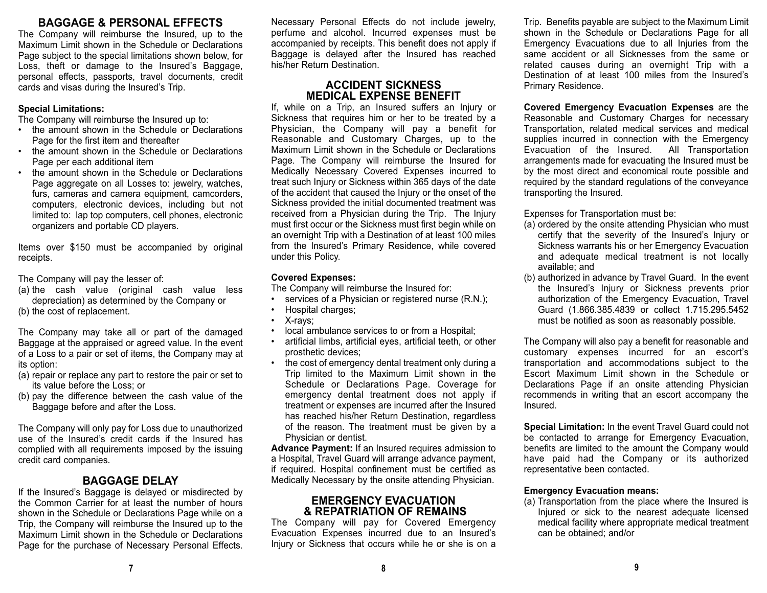## **BAGGAGE & PERSONAL EFFECTS**

The Company will reimburse the Insured, up to the Maximum Limit shown in the Schedule or DeclarationsPage subject to the special limitations shown below, for Loss, theft or damage to the Insured's Baggage, personal effects, passports, travel documents, credit cards and visas during the Insured's Trip.

#### **Special Limitations:**

The Company will reimburse the Insured up to:

- the amount shown in the Schedule or DeclarationsPage for the first item and thereafter
- • the amount shown in the Schedule or Declarations Page per each additional item
- • the amount shown in the Schedule or DeclarationsPage aggregate on all Losses to: jewelry, watches, furs, cameras and camera equipment, camcorders, computers, electronic devices, including but not limited to: lap top computers, cell phones, electronic organizers and portable CD players.

Items over \$150 must be accompanied by original receipts.

The Company will pay the lesser of:

- (a) the cash value (original cash value less depreciation) as determined by the Company or
- (b) the cost of replacement.

The Company may take all or part of the damaged Baggage at the appraised or agreed value. In the event of a Loss to a pair or set of items, the Company may at its option:

- (a) repair or replace any part to restore the pair or set to its value before the Loss; or
- (b) pay the difference between the cash value of the Baggage before and after the Loss.

The Company will only pay for Loss due to unauthorized use of the Insured's credit cards if the Insured hascomplied with all requirements imposed by the issuing credit card companies.

## **BAGGAGE DELAY**

If the Insured's Baggage is delayed or misdirected by the Common Carrier for at least the number of hours shown in the Schedule or Declarations Page while on a Trip, the Company will reimburse the Insured up to the Maximum Limit shown in the Schedule or DeclarationsPage for the purchase of Necessary Personal Effects. Necessary Personal Effects do not include jewelry, perfume and alcohol. Incurred expenses must be accompanied by receipts. This benefit does not apply if Baggage is delayed after the Insured has reached his/her Return Destination.

## **ACCIDENT SICKNESS MEDICAL EXPENSE BENEFIT**

If, while on a Trip, an Insured suffers an Injury or Sickness that requires him or her to be treated by a Physician, the Company will pay a benefit for Reasonable and Customary Charges, up to the Maximum Limit shown in the Schedule or Declarations Page. The Company will reimburse the Insured for Medically Necessary Covered Expenses incurred to treat such Injury or Sickness within 365 days of the date of the accident that caused the Injury or the onset of the Sickness provided the initial documented treatment was received from a Physician during the Trip. The Injury must first occur or the Sickness must first begin while on an overnight Trip with a Destination of at least 100 miles from the Insured's Primary Residence, while covered under this Policy.

## **Covered Expenses:**

The Company will reimburse the Insured for:

- services of a Physician or registered nurse (R.N.);
- •Hospital charges;
- X-rays;
- local ambulance services to or from a Hospital;
- • artificial limbs, artificial eyes, artificial teeth, or other prosthetic devices;
- • the cost of emergency dental treatment only during a Trip limited to the Maximum Limit shown in the Schedule or Declarations Page. Coverage for emergency dental treatment does not apply if treatment or expenses are incurred after the Insured has reached his/her Return Destination, regardless of the reason. The treatment must be given by a Physician or dentist.

**Advance Payment:** If an Insured requires admission to a Hospital, Travel Guard will arrange advance payment, if required. Hospital confinement must be certified as Medically Necessary by the onsite attending Physician.

## **EMERGENCY EVACUATION& REPATRIATION OF REMAINS**

The Company will pay for Covered Emergency Evacuation Expenses incurred due to an Insured's Injury or Sickness that occurs while he or she is on a Trip. Benefits payable are subject to the Maximum Limit shown in the Schedule or Declarations Page for all Emergency Evacuations due to all Injuries from the same accident or all Sicknesses from the same or related causes during an overnight Trip with a Destination of at least 100 miles from the Insured'sPrimary Residence.

**Covered Emergency Evacuation Expenses** are the Reasonable and Customary Charges for necessary Transportation, related medical services and medical supplies incurred in connection with the Emergency Evacuation of the Insured. All Transportation arrangements made for evacuating the Insured must be by the most direct and economical route possible and required by the standard regulations of the conveyance transporting the Insured.

Expenses for Transportation must be:

- (a) ordered by the onsite attending Physician who must certify that the severity of the Insured's Injury or Sickness warrants his or her Emergency Evacuation and adequate medical treatment is not locally available; and
- (b) authorized in advance by Travel Guard. In the event the Insured's Injury or Sickness prevents prior authorization of the Emergency Evacuation, Travel Guard (1.866.385.4839 or collect 1.715.295.5452 must be notified as soon as reasonably possible.

The Company will also pay a benefit for reasonable and customary expenses incurred for an escort's transportation and accommodations subject to the Escort Maximum Limit shown in the Schedule or Declarations Page if an onsite attending Physician recommends in writing that an escort accompany the Insured.

**Special Limitation:** In the event Travel Guard could not be contacted to arrange for Emergency Evacuation, benefits are limited to the amount the Company would have paid had the Company or its authorized representative been contacted.

## **Emergency Evacuation means:**

(a) Transportation from the place where the Insured is Injured or sick to the nearest adequate licensed medical facility where appropriate medical treatment can be obtained; and/or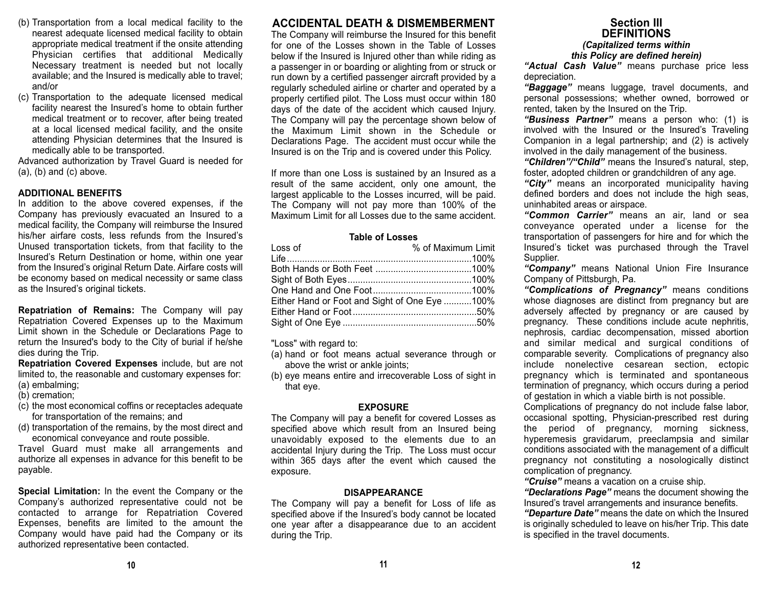- (b) Transportation from a local medical facility to the nearest adequate licensed medical facility to obtain appropriate medical treatment if the onsite attending Physician certifies that additional Medically Necessary treatment is needed but not locally available; and the Insured is medically able to travel; and/or
- (c) Transportation to the adequate licensed medical facility nearest the Insured's home to obtain further medical treatment or to recover, after being treated at a local licensed medical facility, and the onsite attending Physician determines that the Insured is medically able to be transported.

Advanced authorization by Travel Guard is needed for  $(a)$ ,  $(b)$  and  $(c)$  above.

#### **ADDITIONAL BENEFITS**

In addition to the above covered expenses, if the Company has previously evacuated an Insured to a medical facility, the Company will reimburse the Insured his/her airfare costs, less refunds from the Insured's Unused transportation tickets, from that facility to the Insured's Return Destination or home, within one year from the Insured's original Return Date. Airfare costs will be economy based on medical necessity or same class as the Insured's original tickets.

**Repatriation of Remains:** The Company will pay Repatriation Covered Expenses up to the Maximum Limit shown in the Schedule or Declarations Page to return the Insured's body to the City of burial if he/she dies during the Trip.

**Repatriation Covered Expenses** include, but are not limited to, the reasonable and customary expenses for: (a) embalming;

- (b) cremation;
- (c) the most economical coffins or receptacles adequate for transportation of the remains; and
- (d) transportation of the remains, by the most direct and economical conveyance and route possible.

Travel Guard must make all arrangements and authorize all expenses in advance for this benefit to be payable.

**Special Limitation:** In the event the Company or the Company's authorized representative could not be contacted to arrange for Repatriation Covered Expenses, benefits are limited to the amount the Company would have paid had the Company or its authorized representative been contacted.

## **ACCIDENTAL DEATH & DISMEMBERMENT**

The Company will reimburse the Insured for this benefit for one of the Losses shown in the Table of Losses below if the Insured is Injured other than while riding as a passenger in or boarding or alighting from or struck or run down by a certified passenger aircraft provided by a regularly scheduled airline or charter and operated by a properly certified pilot. The Loss must occur within 180 days of the date of the accident which caused Injury. The Company will pay the percentage shown below of the Maximum Limit shown in the Schedule orDeclarations Page. The accident must occur while the Insured is on the Trip and is covered under this Policy.

If more than one Loss is sustained by an Insured as a result of the same accident, only one amount, the largest applicable to the Losses incurred, will be paid. The Company will not pay more than 100% of the Maximum Limit for all Losses due to the same accident.

#### **Table of Losses**

| Loss of                                       | % of Maximum Limit |
|-----------------------------------------------|--------------------|
|                                               |                    |
|                                               |                    |
|                                               |                    |
|                                               |                    |
| Either Hand or Foot and Sight of One Eye 100% |                    |
|                                               |                    |
|                                               |                    |

"Loss" with regard to:

- (a) hand or foot means actual severance through or above the wrist or ankle joints:
- (b) eye means entire and irrecoverable Loss of sight in that eye.

#### **EXPOSURE**

The Company will pay a benefit for covered Losses as specified above which result from an Insured being unavoidably exposed to the elements due to an accidental Injury during the Trip. The Loss must occur within 365 days after the event which caused the exposure.

#### **DISAPPEARANCE**

The Company will pay a benefit for Loss of life as specified above if the Insured's body cannot be located one year after a disappearance due to an accident during the Trip.

## **Section IIIDEFINITIONS***(Capitalized terms within*

*this Policy are defined herein)*

*"Actual Cash Value"* means purchase price less depreciation.

*"Baggage"* means luggage, travel documents, and personal possessions; whether owned, borrowed or rented, taken by the Insured on the Trip.

*"Business Partner"* means a person who: (1) is involved with the Insured or the Insured's Traveling Companion in a legal partnership; and (2) is actively involved in the daily management of the business.

*"Children"/"Child"* means the Insured's natural, step, foster, adopted children or grandchildren of any age.

*"City"* means an incorporated municipality having defined borders and does not include the high seas, uninhabited areas or airspace.

*"Common Carrier"* means an air, land or sea conveyance operated under a license for the transportation of passengers for hire and for which the Insured's ticket was purchased through the Travel Supplier.

*"Company"* means National Union Fire Insurance Company of Pittsburgh, Pa.

*"Complications of Pregnancy"* means conditions whose diagnoses are distinct from pregnancy but are adversely affected by pregnancy or are caused by pregnancy. These conditions include acute nephritis, nephrosis, cardiac decompensation, missed abortion and similar medical and surgical conditions of comparable severity. Complications of pregnancy also include nonelective cesarean section, ectopic pregnancy which is terminated and spontaneous termination of pregnancy, which occurs during a period of gestation in which a viable birth is not possible.

Complications of pregnancy do not include false labor, occasional spotting, Physician-prescribed rest during the period of pregnancy, morning sickness, hyperemesis gravidarum, preeclampsia and similar conditions associated with the management of a difficult pregnancy not constituting a nosologically distinct complication of pregnancy.

*"Cruise"* means a vacation on a cruise ship.

*"Declarations Page"* means the document showing the Insured's travel arrangements and insurance benefits.

*"Departure Date"* means the date on which the Insured is originally scheduled to leave on his/her Trip. This date is specified in the travel documents.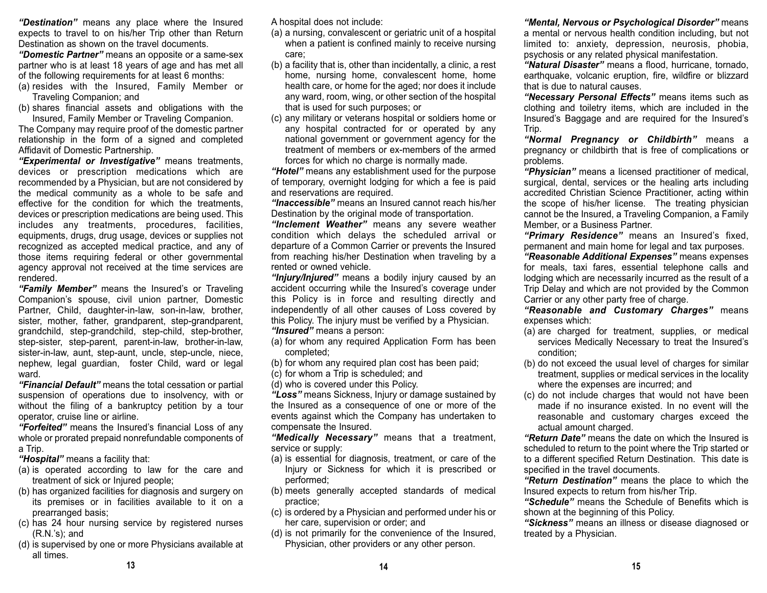*"Destination"* means any place where the Insured expects to travel to on his/her Trip other than Return Destination as shown on the travel documents.

*"Domestic Partner"* means an opposite or a same-sex partner who is at least 18 years of age and has met all of the following requirements for at least 6 months:

- (a) resides with the Insured, Family Member or Traveling Companion; and
- (b) shares financial assets and obligations with the Insured, Family Member or Traveling Companion.

The Company may require proof of the domestic partner relationship in the form of a signed and completed Affidavit of Domestic Partnership.

*"Experimental or Investigative"* means treatments, devices or prescription medications which are recommended by a Physician, but are not considered by the medical community as a whole to be safe and effective for the condition for which the treatments, devices or prescription medications are being used. This includes any treatments, procedures, facilities, equipments, drugs, drug usage, devices or supplies not recognized as accepted medical practice, and any of those items requiring federal or other governmental agency approval not received at the time services are rendered.

*"Family Member"* means the Insured's or Traveling Companion's spouse, civil union partner, Domestic Partner, Child, daughter-in-law, son-in-law, brother, sister, mother, father, grandparent, step-grandparent, grandchild, step-grandchild, step-child, step-brother, step-sister, step-parent, parent-in-law, brother-in-law, sister-in-law, aunt, step-aunt, uncle, step-uncle, niece, nephew, legal guardian, foster Child, ward or legal ward.

*"Financial Default"* means the total cessation or partial suspension of operations due to insolvency, with or without the filing of a bankruptcy petition by a tour operator, cruise line or airline.

*"Forfeited"* means the Insured's financial Loss of any whole or prorated prepaid nonrefundable components of a Trip.

*"Hospital"* means a facility that:

- (a) is operated according to law for the care and treatment of sick or Injured people;
- (b) has organized facilities for diagnosis and surgery on its premises or in facilities available to it on a prearranged basis;
- (c) has 24 hour nursing service by registered nurses (R.N.'s); and
- (d) is supervised by one or more Physicians available at all times.

A hospital does not include:

- (a) a nursing, convalescent or geriatric unit of a hospital when a patient is confined mainly to receive nursing care;
- (b) a facility that is, other than incidentally, a clinic, a rest home, nursing home, convalescent home, home health care, or home for the aged; nor does it include any ward, room, wing, or other section of the hospital that is used for such purposes; or
- (c) any military or veterans hospital or soldiers home or any hospital contracted for or operated by any national government or government agency for the treatment of members or ex-members of the armed forces for which no charge is normally made.

*"Hotel"* means any establishment used for the purpose of temporary, overnight lodging for which a fee is paid and reservations are required.

*"Inaccessible"* means an Insured cannot reach his/her Destination by the original mode of transportation.

*"Inclement Weather"* means any severe weather condition which delays the scheduled arrival or departure of a Common Carrier or prevents the Insured from reaching his/her Destination when traveling by a rented or owned vehicle.

*"Injury/Injured"* means a bodily injury caused by an accident occurring while the Insured's coverage under this Policy is in force and resulting directly and independently of all other causes of Loss covered by this Policy. The injury must be verified by a Physician. *"Insured"* means a person:

(a) for whom any required Application Form has been completed;

- (b) for whom any required plan cost has been paid;
- (c) for whom a Trip is scheduled; and
- (d) who is covered under this Policy.

*"Loss"* means Sickness, Injury or damage sustained by the Insured as a consequence of one or more of the events against which the Company has undertaken to compensate the Insured.

*"Medically Necessary"* means that a treatment, service or supply:

- (a) is essential for diagnosis, treatment, or care of the Injury or Sickness for which it is prescribed or performed;
- (b) meets generally accepted standards of medical practice;
- (c) is ordered by a Physician and performed under his or her care, supervision or order; and
- (d) is not primarily for the convenience of the Insured, Physician, other providers or any other person.

*"Mental, Nervous or Psychological Disorder"* means a mental or nervous health condition including, but not limited to: anxiety, depression, neurosis, phobia, psychosis or any related physical manifestation.

*"Natural Disaster"* means a flood, hurricane, tornado, earthquake, volcanic eruption, fire, wildfire or blizzard that is due to natural causes.

*"Necessary Personal Effects"* means items such as clothing and toiletry items, which are included in the Insured's Baggage and are required for the Insured's Trip.

*"Normal Pregnancy or Childbirth"* means a pregnancy or childbirth that is free of complications or problems.

*"Physician"* means a licensed practitioner of medical, surgical, dental, services or the healing arts including accredited Christian Science Practitioner, acting within the scope of his/her license. The treating physician cannot be the Insured, a Traveling Companion, a Family Member, or a Business Partner.

*"Primary Residence"* means an Insured's fixed, permanent and main home for legal and tax purposes.

*"Reasonable Additional Expenses"* means expenses for meals, taxi fares, essential telephone calls and lodging which are necessarily incurred as the result of a Trip Delay and which are not provided by the Common Carrier or any other party free of charge.

*"Reasonable and Customary Charges"* means expenses which:

- (a) are charged for treatment, supplies, or medical services Medically Necessary to treat the Insured's condition;
- (b) do not exceed the usual level of charges for similar treatment, supplies or medical services in the locality where the expenses are incurred; and
- (c) do not include charges that would not have been made if no insurance existed. In no event will the reasonable and customary charges exceed the actual amount charged.

*"Return Date"* means the date on which the Insured isscheduled to return to the point where the Trip started or to a different specified Return Destination. This date is specified in the travel documents.

*"Return Destination"* means the place to which the Insured expects to return from his/her Trip.

*"Schedule"* means the Schedule of Benefits which is shown at the beginning of this Policy.

*"Sickness"* means an illness or disease diagnosed or treated by a Physician.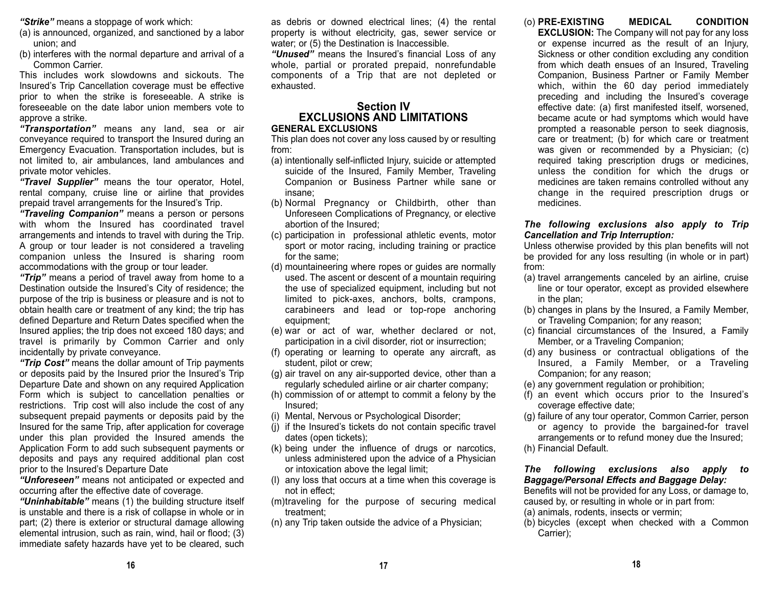*"Strike"* means a stoppage of work which:

- (a) is announced, organized, and sanctioned by a labor union; and
- (b) interferes with the normal departure and arrival of a Common Carrier.

This includes work slowdowns and sickouts. TheInsured's Trip Cancellation coverage must be effective prior to when the strike is foreseeable. A strike is foreseeable on the date labor union members vote toapprove a strike.

*"Transportation"* means any land, sea or air conveyance required to transport the Insured during an Emergency Evacuation. Transportation includes, but is not limited to, air ambulances, land ambulances and private motor vehicles.

*"Travel Supplier"* means the tour operator, Hotel, rental company, cruise line or airline that provides prepaid travel arrangements for the Insured's Trip.

*"Traveling Companion"* means a person or persons with whom the Insured has coordinated travel arrangements and intends to travel with during the Trip. A group or tour leader is not considered a traveling companion unless the Insured is sharing room accommodations with the group or tour leader.

*"Trip"* means a period of travel away from home to a Destination outside the Insured's City of residence; the purpose of the trip is business or pleasure and is not to obtain health care or treatment of any kind; the trip has defined Departure and Return Dates specified when the Insured applies; the trip does not exceed 180 days; and travel is primarily by Common Carrier and only incidentally by private conveyance.

*"Trip Cost"* means the dollar amount of Trip payments or deposits paid by the Insured prior the Insured's Trip Departure Date and shown on any required Application Form which is subject to cancellation penalties or restrictions. Trip cost will also include the cost of any subsequent prepaid payments or deposits paid by the Insured for the same Trip, after application for coverage under this plan provided the Insured amends the Application Form to add such subsequent payments or deposits and pays any required additional plan cost prior to the Insured's Departure Date

*"Unforeseen"* means not anticipated or expected and occurring after the effective date of coverage.

*"Uninhabitable"* means (1) the building structure itself is unstable and there is a risk of collapse in whole or in part; (2) there is exterior or structural damage allowing elemental intrusion, such as rain, wind, hail or flood; (3) immediate safety hazards have yet to be cleared, such

as debris or downed electrical lines; (4) the rental property is without electricity, gas, sewer service or water; or (5) the Destination is Inaccessible.

*"Unused"* means the Insured's financial Loss of any whole, partial or prorated prepaid, nonrefundable components of a Trip that are not depleted or exhausted.

## **Section IVEXCLUSIONS AND LIMITATIONS**

#### **GENERAL EXCLUSIONS**

This plan does not cover any loss caused by or resulting from:

- (a) intentionally self-inflicted Injury, suicide or attempted suicide of the Insured, Family Member, Traveling Companion or Business Partner while sane or insane;
- (b) Normal Pregnancy or Childbirth, other than Unforeseen Complications of Pregnancy, or elective abortion of the Insured;
- (c) participation in professional athletic events, motor sport or motor racing, including training or practice for the same;
- (d) mountaineering where ropes or guides are normally used. The ascent or descent of a mountain requiring the use of specialized equipment, including but not limited to pick-axes, anchors, bolts, crampons, carabineers and lead or top-rope anchoring equipment;
- (e) war or act of war, whether declared or not, participation in a civil disorder, riot or insurrection;
- (f) operating or learning to operate any aircraft, as student, pilot or crew;
- (g) air travel on any air-supported device, other than a regularly scheduled airline or air charter company;
- (h) commission of or attempt to commit a felony by the Insured;
- (i) Mental, Nervous or Psychological Disorder;
- (j) if the Insured's tickets do not contain specific travel dates (open tickets);
- (k) being under the influence of drugs or narcotics, unless administered upon the advice of a Physician or intoxication above the legal limit;
- (l) any loss that occurs at a time when this coverage is not in effect;
- (m)traveling for the purpose of securing medical treatment;
- (n) any Trip taken outside the advice of a Physician;

## (o) **PRE-EXISTING MEDICAL CONDITION**

**EXCLUSION:** The Company will not pay for any loss or expense incurred as the result of an Injury, Sickness or other condition excluding any condition from which death ensues of an Insured, Traveling Companion, Business Partner or Family Member which, within the 60 day period immediately preceding and including the Insured's coverage effective date: (a) first manifested itself, worsened, became acute or had symptoms which would have prompted a reasonable person to seek diagnosis, care or treatment; (b) for which care or treatment was given or recommended by a Physician; (c) required taking prescription drugs or medicines, unless the condition for which the drugs or medicines are taken remains controlled without any change in the required prescription drugs or medicines.

#### *The following exclusions also apply to Trip Cancellation and Trip Interruption:*

Unless otherwise provided by this plan benefits will not be provided for any loss resulting (in whole or in part) from:

- (a) travel arrangements canceled by an airline, cruise line or tour operator, except as provided elsewhere in the plan;
- (b) changes in plans by the Insured, a Family Member, or Traveling Companion; for any reason;
- (c) financial circumstances of the Insured, a Family Member, or a Traveling Companion;
- (d) any business or contractual obligations of the Insured, a Family Member, or a Traveling Companion; for any reason;
- (e) any government regulation or prohibition;
- (f) an event which occurs prior to the Insured's coverage effective date;
- (g) failure of any tour operator, Common Carrier, person or agency to provide the bargained-for travel arrangements or to refund money due the Insured;
- (h) Financial Default.

*The following exclusions also apply to Baggage/Personal Effects and Baggage Delay:* 

Benefits will not be provided for any Loss, or damage to, caused by, or resulting in whole or in part from:

- (a) animals, rodents, insects or vermin;
- (b) bicycles (except when checked with a Common Carrier);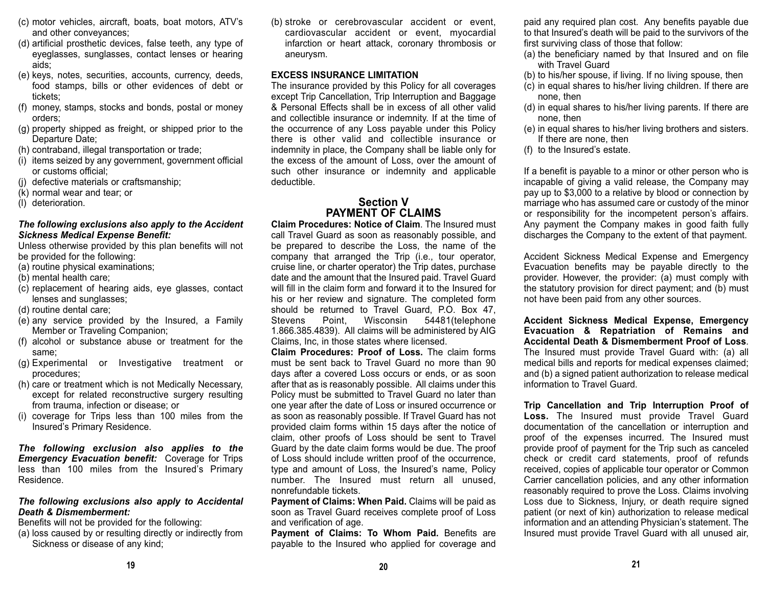- (c) motor vehicles, aircraft, boats, boat motors, ATV's and other conveyances;
- (d) artificial prosthetic devices, false teeth, any type of eyeglasses, sunglasses, contact lenses or hearing aids;
- (e) keys, notes, securities, accounts, currency, deeds, food stamps, bills or other evidences of debt or tickets;
- (f) money, stamps, stocks and bonds, postal or money orders;
- (g) property shipped as freight, or shipped prior to the Departure Date;
- (h) contraband, illegal transportation or trade;
- (i) items seized by any government, government official or customs official;
- (j) defective materials or craftsmanship;
- (k) normal wear and tear; or
- (l) deterioration.

#### *The following exclusions also apply to the Accident Sickness Medical Expense Benefit:*

Unless otherwise provided by this plan benefits will not be provided for the following:

- (a) routine physical examinations;
- (b) mental health care;
- (c) replacement of hearing aids, eye glasses, contact lenses and sunglasses;
- (d) routine dental care;
- (e) any service provided by the Insured, a Family Member or Traveling Companion;
- (f) alcohol or substance abuse or treatment for the same;
- (g) Experimental or Investigative treatment or procedures;
- (h) care or treatment which is not Medically Necessary, except for related reconstructive surgery resulting from trauma, infection or disease; or
- (i) coverage for Trips less than 100 miles from the Insured's Primary Residence.

*The following exclusion also applies to the Emergency Evacuation benefit:* Coverage for Trips less than 100 miles from the Insured's Primary Residence.

#### *The following exclusions also apply to Accidental Death & Dismemberment:*

Benefits will not be provided for the following:

(a) loss caused by or resulting directly or indirectly from Sickness or disease of any kind;

(b) stroke or cerebrovascular accident or event, cardiovascular accident or event, myocardial infarction or heart attack, coronary thrombosis or aneurysm.

#### **EXCESS INSURANCE LIMITATION**

The insurance provided by this Policy for all coverages except Trip Cancellation, Trip Interruption and Baggage & Personal Effects shall be in excess of all other validand collectible insurance or indemnity. If at the time of the occurrence of any Loss payable under this Policy there is other valid and collectible insurance or indemnity in place, the Company shall be liable only for the excess of the amount of Loss, over the amount of such other insurance or indemnity and applicable deductible.

## **Section VPAYMENT OF CLAIMS**

**Claim Procedures: Notice of Claim**. The Insured mustcall Travel Guard as soon as reasonably possible, and be prepared to describe the Loss, the name of the company that arranged the Trip (i.e., tour operator, cruise line, or charter operator) the Trip dates, purchase date and the amount that the Insured paid. Travel Guard will fill in the claim form and forward it to the Insured forhis or her review and signature. The completed form should be returned to Travel Guard, P.O. Box 47, Stevens Point, Wisconsin 54481(telephone 1.866.385.4839). All claims will be administered by AIG Claims, Inc, in those states where licensed.

**Claim Procedures: Proof of Loss.** The claim formsmust be sent back to Travel Guard no more than 90days after a covered Loss occurs or ends, or as soon after that as is reasonably possible. All claims under this Policy must be submitted to Travel Guard no later than one year after the date of Loss or insured occurrence or as soon as reasonably possible. If Travel Guard has not provided claim forms within 15 days after the notice of claim, other proofs of Loss should be sent to Travel Guard by the date claim forms would be due. The proof of Loss should include written proof of the occurrence, type and amount of Loss, the Insured's name, Policy number. The Insured must return all unused, nonrefundable tickets.

**Payment of Claims: When Paid.** Claims will be paid as soon as Travel Guard receives complete proof of Loss and verification of age.

**Payment of Claims: To Whom Paid.** Benefits are payable to the Insured who applied for coverage and

paid any required plan cost. Any benefits payable due to that Insured's death will be paid to the survivors of the first surviving class of those that follow:

- (a) the beneficiary named by that Insured and on file with Travel Guard
- (b) to his/her spouse, if living. If no living spouse, then
- (c) in equal shares to his/her living children. If there are none, then
- (d) in equal shares to his/her living parents. If there are none, then
- (e) in equal shares to his/her living brothers and sisters. If there are none, then
- (f) to the Insured's estate.

If a benefit is payable to a minor or other person who is incapable of giving a valid release, the Company may pay up to \$3,000 to a relative by blood or connection by marriage who has assumed care or custody of the minor or responsibility for the incompetent person's affairs. Any payment the Company makes in good faith fully discharges the Company to the extent of that payment.

Accident Sickness Medical Expense and Emergency Evacuation benefits may be payable directly to the provider. However, the provider: (a) must comply with the statutory provision for direct payment; and (b) must not have been paid from any other sources.

**Accident Sickness Medical Expense, Emergency Evacuation & Repatriation of Remains and Accidental Death & Dismemberment Proof of Loss**. The Insured must provide Travel Guard with: (a) all medical bills and reports for medical expenses claimed; and (b) a signed patient authorization to release medical information to Travel Guard.

**Trip Cancellation and Trip Interruption Proof of Loss.** The Insured must provide Travel Guard documentation of the cancellation or interruption and proof of the expenses incurred. The Insured must provide proof of payment for the Trip such as canceled check or credit card statements, proof of refunds received, copies of applicable tour operator or Common Carrier cancellation policies, and any other information reasonably required to prove the Loss. Claims involving Loss due to Sickness, Injury, or death require signed patient (or next of kin) authorization to release medical information and an attending Physician's statement. The Insured must provide Travel Guard with all unused air,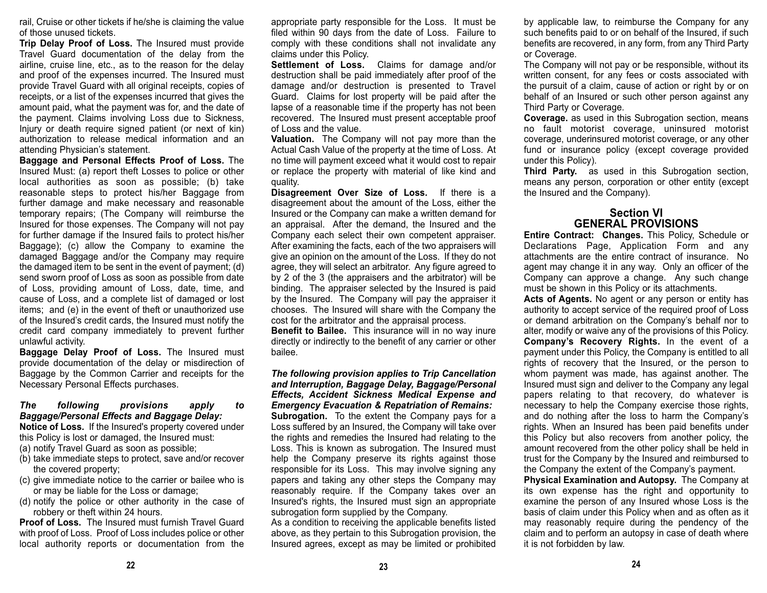rail, Cruise or other tickets if he/she is claiming the value of those unused tickets.

**Trip Delay Proof of Loss.** The Insured must provide Travel Guard documentation of the delay from the airline, cruise line, etc., as to the reason for the delay and proof of the expenses incurred. The Insured must provide Travel Guard with all original receipts, copies of receipts, or a list of the expenses incurred that gives the amount paid, what the payment was for, and the date of the payment. Claims involving Loss due to Sickness, Injury or death require signed patient (or next of kin) authorization to release medical information and anattending Physician's statement.

**Baggage and Personal Effects Proof of Loss.** The Insured Must: (a) report theft Losses to police or other local authorities as soon as possible; (b) take reasonable steps to protect his/her Baggage from further damage and make necessary and reasonable temporary repairs; (The Company will reimburse the Insured for those expenses. The Company will not pay for further damage if the Insured fails to protect his/her Baggage); (c) allow the Company to examine the damaged Baggage and/or the Company may require the damaged item to be sent in the event of payment; (d) send sworn proof of Loss as soon as possible from date of Loss, providing amount of Loss, date, time, and cause of Loss, and a complete list of damaged or lost items; and (e) in the event of theft or unauthorized use of the Insured's credit cards, the Insured must notify the credit card company immediately to prevent further unlawful activity.

**Baggage Delay Proof of Loss.** The Insured must provide documentation of the delay or misdirection of Baggage by the Common Carrier and receipts for the Necessary Personal Effects purchases.

### *The following provisions apply to Baggage/Personal Effects and Baggage Delay:*

**Notice of Loss.** If the Insured's property covered under this Policy is lost or damaged, the Insured must:

- (a) notify Travel Guard as soon as possible;
- (b) take immediate steps to protect, save and/or recover the covered property;
- (c) give immediate notice to the carrier or bailee who is or may be liable for the Loss or damage;
- (d) notify the police or other authority in the case of robbery or theft within 24 hours.

**Proof of Loss.** The Insured must furnish Travel Guardwith proof of Loss. Proof of Loss includes police or other local authority reports or documentation from the

appropriate party responsible for the Loss. It must be filed within 90 days from the date of Loss. Failure to comply with these conditions shall not invalidate any claims under this Policy.

**Settlement of Loss.** Claims for damage and/or destruction shall be paid immediately after proof of the damage and/or destruction is presented to Travel Guard. Claims for lost property will be paid after the lapse of a reasonable time if the property has not been recovered. The Insured must present acceptable proof of Loss and the value.

 **Valuation.** The Company will not pay more than the Actual Cash Value of the property at the time of Loss. At no time will payment exceed what it would cost to repair or replace the property with material of like kind and quality.

**Disagreement Over Size of Loss.** If there is a disagreement about the amount of the Loss, either the Insured or the Company can make a written demand for an appraisal. After the demand, the Insured and the Company each select their own competent appraiser. After examining the facts, each of the two appraisers will give an opinion on the amount of the Loss. If they do not agree, they will select an arbitrator. Any figure agreed to by 2 of the 3 (the appraisers and the arbitrator) will be binding. The appraiser selected by the Insured is paid by the Insured. The Company will pay the appraiser it chooses. The Insured will share with the Company the cost for the arbitrator and the appraisal process.

**Benefit to Bailee.** This insurance will in no way inure directly or indirectly to the benefit of any carrier or other bailee.

*The following provision applies to Trip Cancellation and Interruption, Baggage Delay, Baggage/Personal Effects, Accident Sickness Medical Expense and Emergency Evacuation & Repatriation of Remains:*  **Subrogation.** To the extent the Company pays for a Loss suffered by an Insured, the Company will take over the rights and remedies the Insured had relating to the Loss. This is known as subrogation. The Insured must help the Company preserve its rights against those responsible for its Loss. This may involve signing any papers and taking any other steps the Company may reasonably require. If the Company takes over an Insured's rights, the Insured must sign an appropriate subrogation form supplied by the Company.

As a condition to receiving the applicable benefits listed above, as they pertain to this Subrogation provision, the Insured agrees, except as may be limited or prohibited by applicable law, to reimburse the Company for any such benefits paid to or on behalf of the Insured, if such benefits are recovered, in any form, from any Third Party or Coverage.

The Company will not pay or be responsible, without its written consent, for any fees or costs associated with the pursuit of a claim, cause of action or right by or on behalf of an Insured or such other person against any Third Party or Coverage.

**Coverage.** as used in this Subrogation section, means no fault motorist coverage, uninsured motorist coverage, underinsured motorist coverage, or any other fund or insurance policy (except coverage provided under this Policy).

**Third Party.** as used in this Subrogation section, means any person, corporation or other entity (except the Insured and the Company).

## **Section VIGENERAL PROVISIONS**

**Entire Contract: Changes.** This Policy, Schedule or Declarations Page, Application Form and any attachments are the entire contract of insurance. Noagent may change it in any way. Only an officer of the Company can approve a change. Any such change must be shown in this Policy or its attachments.

**Acts of Agents.** No agent or any person or entity has authority to accept service of the required proof of Loss or demand arbitration on the Company's behalf nor to alter, modify or waive any of the provisions of this Policy. **Company's Recovery Rights.** In the event of a payment under this Policy, the Company is entitled to all rights of recovery that the Insured, or the person to whom payment was made, has against another. The Insured must sign and deliver to the Company any legal papers relating to that recovery, do whatever is necessary to help the Company exercise those rights, and do nothing after the loss to harm the Company's rights. When an Insured has been paid benefits under this Policy but also recovers from another policy, the amount recovered from the other policy shall be held in trust for the Company by the Insured and reimbursed to the Company the extent of the Company's payment.

**Physical Examination and Autopsy.** The Company at its own expense has the right and opportunity to examine the person of any Insured whose Loss is the basis of claim under this Policy when and as often as it may reasonably require during the pendency of the claim and to perform an autopsy in case of death where it is not forbidden by law.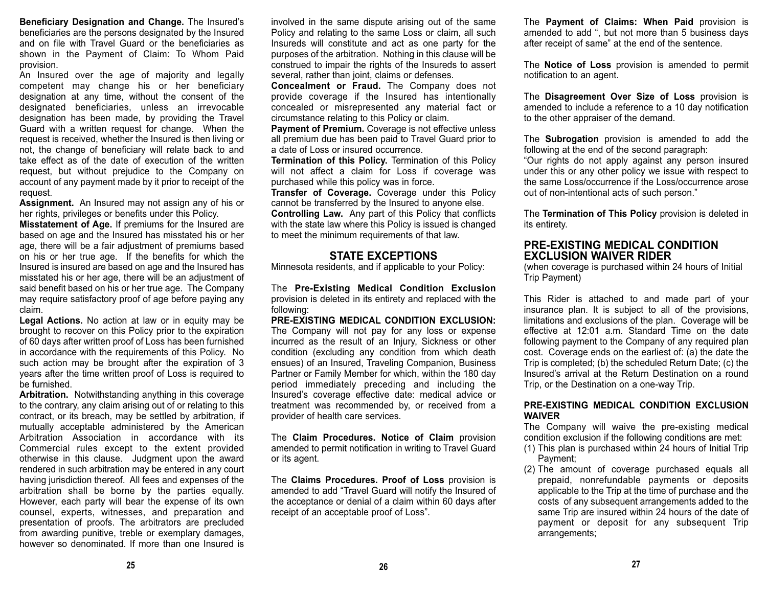**Beneficiary Designation and Change.** The Insured's beneficiaries are the persons designated by the Insured and on file with Travel Guard or the beneficiaries asshown in the Payment of Claim: To Whom Paid provision.

An Insured over the age of majority and legally competent may change his or her beneficiary designation at any time, without the consent of the designated beneficiaries, unless an irrevocable designation has been made, by providing the Travel Guard with a written request for change. When the request is received, whether the Insured is then living or not, the change of beneficiary will relate back to and take effect as of the date of execution of the writtenrequest, but without prejudice to the Company on account of any payment made by it prior to receipt of the request.

**Assignment.** An Insured may not assign any of his or her rights, privileges or benefits under this Policy.

**Misstatement of Age.** If premiums for the Insured are based on age and the Insured has misstated his or her age, there will be a fair adjustment of premiums based on his or her true age. If the benefits for which the Insured is insured are based on age and the Insured has misstated his or her age, there will be an adjustment of said benefit based on his or her true age. The Company may require satisfactory proof of age before paying any claim.

**Legal Actions.** No action at law or in equity may be brought to recover on this Policy prior to the expiration of 60 days after written proof of Loss has been furnished in accordance with the requirements of this Policy. No such action may be brought after the expiration of 3 years after the time written proof of Loss is required to be furnished.

**Arbitration.** Notwithstanding anything in this coverage to the contrary, any claim arising out of or relating to this contract, or its breach, may be settled by arbitration, if mutually acceptable administered by the American Arbitration Association in accordance with itsCommercial rules except to the extent provided otherwise in this clause. Judgment upon the award rendered in such arbitration may be entered in any court having jurisdiction thereof. All fees and expenses of the arbitration shall be borne by the parties equally. However, each party will bear the expense of its own counsel, experts, witnesses, and preparation and presentation of proofs. The arbitrators are precluded from awarding punitive, treble or exemplary damages, however so denominated. If more than one Insured is

involved in the same dispute arising out of the same Policy and relating to the same Loss or claim, all such Insureds will constitute and act as one party for the purposes of the arbitration. Nothing in this clause will be construed to impair the rights of the Insureds to assert several, rather than joint, claims or defenses.

**Concealment or Fraud.** The Company does not provide coverage if the Insured has intentionally concealed or misrepresented any material fact or circumstance relating to this Policy or claim.

**Payment of Premium.** Coverage is not effective unless all premium due has been paid to Travel Guard prior to a date of Loss or insured occurrence.

**Termination of this Policy.** Termination of this Policy will not affect a claim for Loss if coverage was purchased while this policy was in force.

**Transfer of Coverage.** Coverage under this Policy cannot be transferred by the Insured to anyone else.

**Controlling Law.** Any part of this Policy that conflicts with the state law where this Policy is issued is changed to meet the minimum requirements of that law.

## **STATE EXCEPTIONS**

Minnesota residents, and if applicable to your Policy:

The **Pre-Existing Medical Condition Exclusion** provision is deleted in its entirety and replaced with the following:

**PRE-EXISTING MEDICAL CONDITION EXCLUSION:**The Company will not pay for any loss or expense incurred as the result of an Injury, Sickness or other condition (excluding any condition from which death ensues) of an Insured, Traveling Companion, Business Partner or Family Member for which, within the 180 day period immediately preceding and including the Insured's coverage effective date: medical advice or treatment was recommended by, or received from a provider of health care services.

The **Claim Procedures. Notice of Claim** provision amended to permit notification in writing to Travel Guard or its agent.

The **Claims Procedures. Proof of Loss** provision is amended to add "Travel Guard will notify the Insured of the acceptance or denial of a claim within 60 days after receipt of an acceptable proof of Loss".

The **Payment of Claims: When Paid** provision is amended to add ", but not more than 5 business days after receipt of same" at the end of the sentence.

The **Notice of Loss** provision is amended to permit notification to an agent.

The **Disagreement Over Size of Loss** provision is amended to include a reference to a 10 day notification to the other appraiser of the demand.

The **Subrogation** provision is amended to add the following at the end of the second paragraph:

"Our rights do not apply against any person insured under this or any other policy we issue with respect to the same Loss/occurrence if the Loss/occurrence arose out of non-intentional acts of such person."

The **Termination of This Policy** provision is deleted in its entirety.

#### **PRE-EXISTING MEDICAL CONDITIONEXCLUSION WAIVER RIDER**

(when coverage is purchased within 24 hours of Initial Trip Payment)

This Rider is attached to and made part of your insurance plan. It is subject to all of the provisions, limitations and exclusions of the plan. Coverage will be effective at 12:01 a.m. Standard Time on the datefollowing payment to the Company of any required plan cost. Coverage ends on the earliest of: (a) the date the Trip is completed; (b) the scheduled Return Date; (c) the Insured's arrival at the Return Destination on a round Trip, or the Destination on a one-way Trip.

#### **PRE-EXISTING MEDICAL CONDITION EXCLUSIONWAIVER**

The Company will waive the pre-existing medical condition exclusion if the following conditions are met:

- (1) This plan is purchased within 24 hours of Initial Trip Payment;
- (2) The amount of coverage purchased equals all prepaid, nonrefundable payments or deposits applicable to the Trip at the time of purchase and the costs of any subsequent arrangements added to the same Trip are insured within 24 hours of the date of payment or deposit for any subsequent Trip arrangements;